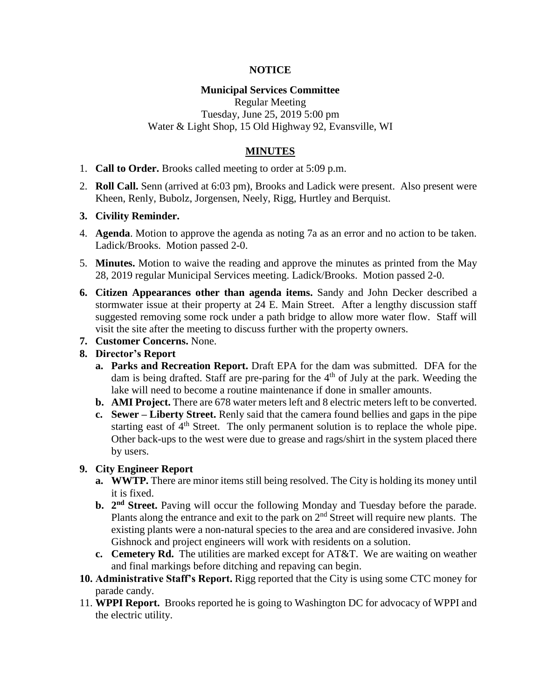## **NOTICE**

## **Municipal Services Committee**

Regular Meeting Tuesday, June 25, 2019 5:00 pm Water & Light Shop, 15 Old Highway 92, Evansville, WI

# **MINUTES**

- 1. **Call to Order.** Brooks called meeting to order at 5:09 p.m.
- 2. **Roll Call.** Senn (arrived at 6:03 pm), Brooks and Ladick were present. Also present were Kheen, Renly, Bubolz, Jorgensen, Neely, Rigg, Hurtley and Berquist.

#### **3. Civility Reminder.**

- 4. **Agenda**. Motion to approve the agenda as noting 7a as an error and no action to be taken. Ladick/Brooks. Motion passed 2-0.
- 5. **Minutes.** Motion to waive the reading and approve the minutes as printed from the May 28, 2019 regular Municipal Services meeting. Ladick/Brooks. Motion passed 2-0.
- **6. Citizen Appearances other than agenda items.** Sandy and John Decker described a stormwater issue at their property at 24 E. Main Street. After a lengthy discussion staff suggested removing some rock under a path bridge to allow more water flow. Staff will visit the site after the meeting to discuss further with the property owners.
- **7. Customer Concerns.** None.

## **8. Director's Report**

- **a. Parks and Recreation Report.** Draft EPA for the dam was submitted. DFA for the dam is being drafted. Staff are pre-paring for the  $4<sup>th</sup>$  of July at the park. Weeding the lake will need to become a routine maintenance if done in smaller amounts.
- **b. AMI Project.** There are 678 water meters left and 8 electric meters left to be converted.
- **c. Sewer – Liberty Street.** Renly said that the camera found bellies and gaps in the pipe starting east of  $4<sup>th</sup>$  Street. The only permanent solution is to replace the whole pipe. Other back-ups to the west were due to grease and rags/shirt in the system placed there by users.

#### **9. City Engineer Report**

- **a. WWTP.** There are minor items still being resolved. The City is holding its money until it is fixed.
- **b.** 2<sup>nd</sup> Street. Paving will occur the following Monday and Tuesday before the parade. Plants along the entrance and exit to the park on  $2<sup>nd</sup>$  Street will require new plants. The existing plants were a non-natural species to the area and are considered invasive. John Gishnock and project engineers will work with residents on a solution.
- **c. Cemetery Rd.** The utilities are marked except for AT&T. We are waiting on weather and final markings before ditching and repaving can begin.
- **10. Administrative Staff's Report.** Rigg reported that the City is using some CTC money for parade candy.
- 11. **WPPI Report.** Brooks reported he is going to Washington DC for advocacy of WPPI and the electric utility.